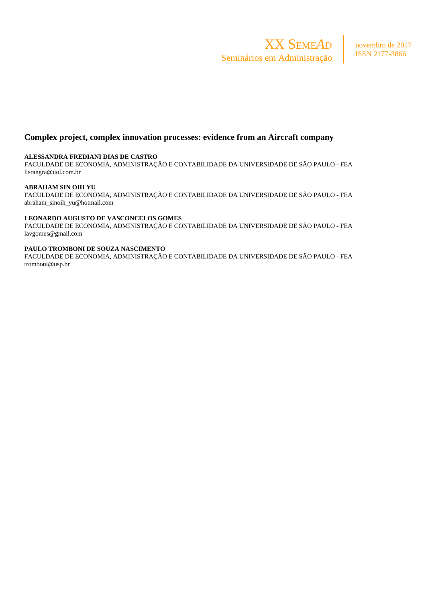

# **Complex project, complex innovation processes: evidence from an Aircraft company**

#### **ALESSANDRA FREDIANI DIAS DE CASTRO**

FACULDADE DE ECONOMIA, ADMINISTRAÇÃO E CONTABILIDADE DA UNIVERSIDADE DE SÃO PAULO - FEA lisrangra@uol.com.br

#### **ABRAHAM SIN OIH YU**

FACULDADE DE ECONOMIA, ADMINISTRAÇÃO E CONTABILIDADE DA UNIVERSIDADE DE SÃO PAULO - FEA abraham\_sinoih\_yu@hotmail.com

### **LEONARDO AUGUSTO DE VASCONCELOS GOMES**

FACULDADE DE ECONOMIA, ADMINISTRAÇÃO E CONTABILIDADE DA UNIVERSIDADE DE SÃO PAULO - FEA lavgomes@gmail.com

#### **PAULO TROMBONI DE SOUZA NASCIMENTO**

FACULDADE DE ECONOMIA, ADMINISTRAÇÃO E CONTABILIDADE DA UNIVERSIDADE DE SÃO PAULO - FEA tromboni@usp.br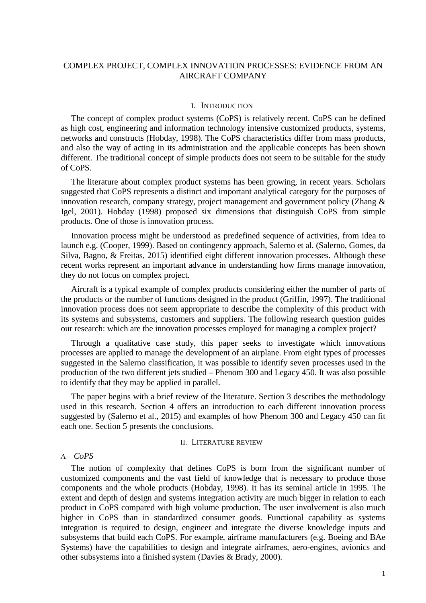# COMPLEX PROJECT, COMPLEX INNOVATION PROCESSES: EVIDENCE FROM AN AIRCRAFT COMPANY

#### I. INTRODUCTION

The concept of complex product systems (CoPS) is relatively recent. CoPS can be defined as high cost, engineering and information technology intensive customized products, systems, networks and constructs (Hobday, 1998). The CoPS characteristics differ from mass products, and also the way of acting in its administration and the applicable concepts has been shown different. The traditional concept of simple products does not seem to be suitable for the study of CoPS.

The literature about complex product systems has been growing, in recent years. Scholars suggested that CoPS represents a distinct and important analytical category for the purposes of innovation research, company strategy, project management and government policy (Zhang & Igel, 2001). Hobday (1998) proposed six dimensions that distinguish CoPS from simple products. One of those is innovation process.

Innovation process might be understood as predefined sequence of activities, from idea to launch e.g. (Cooper, 1999). Based on contingency approach, Salerno et al. (Salerno, Gomes, da Silva, Bagno, & Freitas, 2015) identified eight different innovation processes. Although these recent works represent an important advance in understanding how firms manage innovation, they do not focus on complex project.

Aircraft is a typical example of complex products considering either the number of parts of the products or the number of functions designed in the product (Griffin, 1997). The traditional innovation process does not seem appropriate to describe the complexity of this product with its systems and subsystems, customers and suppliers. The following research question guides our research: which are the innovation processes employed for managing a complex project?

Through a qualitative case study, this paper seeks to investigate which innovations processes are applied to manage the development of an airplane. From eight types of processes suggested in the Salerno classification, it was possible to identify seven processes used in the production of the two different jets studied – Phenom 300 and Legacy 450. It was also possible to identify that they may be applied in parallel.

The paper begins with a brief review of the literature. Section 3 describes the methodology used in this research. Section 4 offers an introduction to each different innovation process suggested by (Salerno et al., 2015) and examples of how Phenom 300 and Legacy 450 can fit each one. Section 5 presents the conclusions.

#### II. LITERATURE REVIEW

## *A. CoPS*

The notion of complexity that defines CoPS is born from the significant number of customized components and the vast field of knowledge that is necessary to produce those components and the whole products (Hobday, 1998). It has its seminal article in 1995. The extent and depth of design and systems integration activity are much bigger in relation to each product in CoPS compared with high volume production. The user involvement is also much higher in CoPS than in standardized consumer goods. Functional capability as systems integration is required to design, engineer and integrate the diverse knowledge inputs and subsystems that build each CoPS. For example, airframe manufacturers (e.g. Boeing and BAe Systems) have the capabilities to design and integrate airframes, aero-engines, avionics and other subsystems into a finished system (Davies & Brady, 2000).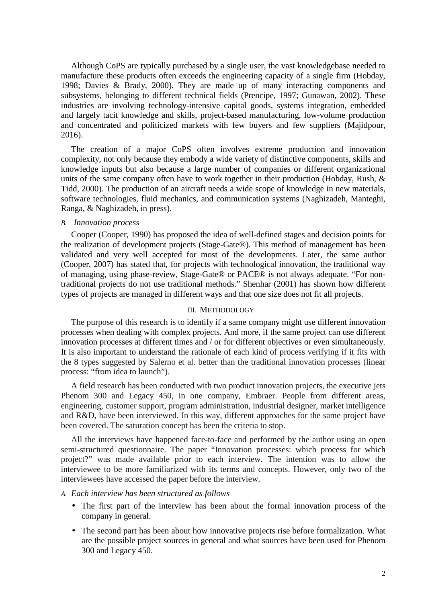Although CoPS are typically purchased by a single user, the vast knowledgebase needed to manufacture these products often exceeds the engineering capacity of a single firm (Hobday, 1998; Davies & Brady, 2000). They are made up of many interacting components and subsystems, belonging to different technical fields (Prencipe, 1997; Gunawan, 2002). These industries are involving technology-intensive capital goods, systems integration, embedded and largely tacit knowledge and skills, project-based manufacturing, low-volume production and concentrated and politicized markets with few buyers and few suppliers (Majidpour, 2016).

The creation of a major CoPS often involves extreme production and innovation complexity, not only because they embody a wide variety of distinctive components, skills and knowledge inputs but also because a large number of companies or different organizational units of the same company often have to work together in their production (Hobday, Rush, & Tidd, 2000). The production of an aircraft needs a wide scope of knowledge in new materials, software technologies, fluid mechanics, and communication systems (Naghizadeh, Manteghi, Ranga, & Naghizadeh, in press).

#### *B. Innovation process*

Cooper (Cooper, 1990) has proposed the idea of well-defined stages and decision points for the realization of development projects (Stage-Gate®). This method of management has been validated and very well accepted for most of the developments. Later, the same author (Cooper, 2007) has stated that, for projects with technological innovation, the traditional way of managing, using phase-review, Stage-Gate® or PACE® is not always adequate. "For nontraditional projects do not use traditional methods." Shenhar (2001) has shown how different types of projects are managed in different ways and that one size does not fit all projects.

### III. METHODOLOGY

The purpose of this research is to identify if a same company might use different innovation processes when dealing with complex projects. And more, if the same project can use different innovation processes at different times and / or for different objectives or even simultaneously. It is also important to understand the rationale of each kind of process verifying if it fits with the 8 types suggested by Salerno et al. better than the traditional innovation processes (linear process: "from idea to launch").

A field research has been conducted with two product innovation projects, the executive jets Phenom 300 and Legacy 450, in one company, Embraer. People from different areas, engineering, customer support, program administration, industrial designer, market intelligence and R&D, have been interviewed. In this way, different approaches for the same project have been covered. The saturation concept has been the criteria to stop.

All the interviews have happened face-to-face and performed by the author using an open semi-structured questionnaire. The paper "Innovation processes: which process for which project?" was made available prior to each interview. The intention was to allow the interviewee to be more familiarized with its terms and concepts. However, only two of the interviewees have accessed the paper before the interview.

## *A. Each interview has been structured as follows*

- The first part of the interview has been about the formal innovation process of the company in general.
- The second part has been about how innovative projects rise before formalization. What are the possible project sources in general and what sources have been used for Phenom 300 and Legacy 450.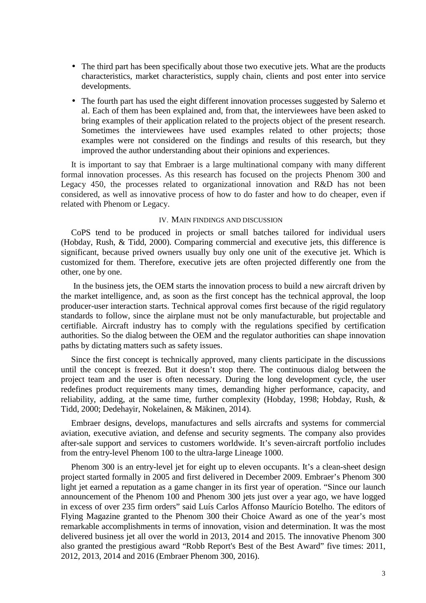- The third part has been specifically about those two executive jets. What are the products characteristics, market characteristics, supply chain, clients and post enter into service developments.
- The fourth part has used the eight different innovation processes suggested by Salerno et al. Each of them has been explained and, from that, the interviewees have been asked to bring examples of their application related to the projects object of the present research. Sometimes the interviewees have used examples related to other projects; those examples were not considered on the findings and results of this research, but they improved the author understanding about their opinions and experiences.

It is important to say that Embraer is a large multinational company with many different formal innovation processes. As this research has focused on the projects Phenom 300 and Legacy 450, the processes related to organizational innovation and R&D has not been considered, as well as innovative process of how to do faster and how to do cheaper, even if related with Phenom or Legacy.

## IV. MAIN FINDINGS AND DISCUSSION

CoPS tend to be produced in projects or small batches tailored for individual users (Hobday, Rush, & Tidd, 2000). Comparing commercial and executive jets, this difference is significant, because prived owners usually buy only one unit of the executive jet. Which is customized for them. Therefore, executive jets are often projected differently one from the other, one by one.

 In the business jets, the OEM starts the innovation process to build a new aircraft driven by the market intelligence, and, as soon as the first concept has the technical approval, the loop producer-user interaction starts. Technical approval comes first because of the rigid regulatory standards to follow, since the airplane must not be only manufacturable, but projectable and certifiable. Aircraft industry has to comply with the regulations specified by certification authorities. So the dialog between the OEM and the regulator authorities can shape innovation paths by dictating matters such as safety issues.

Since the first concept is technically approved, many clients participate in the discussions until the concept is freezed. But it doesn't stop there. The continuous dialog between the project team and the user is often necessary. During the long development cycle, the user redefines product requirements many times, demanding higher performance, capacity, and reliability, adding, at the same time, further complexity (Hobday, 1998; Hobday, Rush, & Tidd, 2000; Dedehayir, Nokelainen, & Mäkinen, 2014).

Embraer designs, develops, manufactures and sells aircrafts and systems for commercial aviation, executive aviation, and defense and security segments. The company also provides after-sale support and services to customers worldwide. It's seven-aircraft portfolio includes from the entry-level Phenom 100 to the ultra-large Lineage 1000.

Phenom 300 is an entry-level jet for eight up to eleven occupants. It's a clean-sheet design project started formally in 2005 and first delivered in December 2009. Embraer's Phenom 300 light jet earned a reputation as a game changer in its first year of operation. "Since our launch announcement of the Phenom 100 and Phenom 300 jets just over a year ago, we have logged in excess of over 235 firm orders" said Luís Carlos Affonso Maurício Botelho. The editors of Flying Magazine granted to the Phenom 300 their Choice Award as one of the year's most remarkable accomplishments in terms of innovation, vision and determination. It was the most delivered business jet all over the world in 2013, 2014 and 2015. The innovative Phenom 300 also granted the prestigious award "Robb Report's Best of the Best Award" five times: 2011, 2012, 2013, 2014 and 2016 (Embraer Phenom 300, 2016).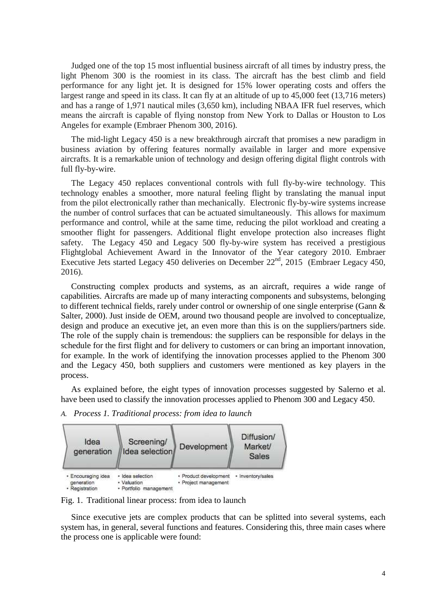Judged one of the top 15 most influential business aircraft of all times by industry press, the light Phenom 300 is the roomiest in its class. The aircraft has the best climb and field performance for any light jet. It is designed for 15% lower operating costs and offers the largest range and speed in its class. It can fly at an altitude of up to 45,000 feet (13,716 meters) and has a range of 1,971 nautical miles (3,650 km), including NBAA IFR fuel reserves, which means the aircraft is capable of flying nonstop from New York to Dallas or Houston to Los Angeles for example (Embraer Phenom 300, 2016).

The mid-light Legacy 450 is a new breakthrough aircraft that promises a new paradigm in business aviation by offering features normally available in larger and more expensive aircrafts. It is a remarkable union of technology and design offering digital flight controls with full fly-by-wire.

The Legacy 450 replaces conventional controls with full fly-by-wire technology. This technology enables a smoother, more natural feeling flight by translating the manual input from the pilot electronically rather than mechanically. Electronic fly-by-wire systems increase the number of control surfaces that can be actuated simultaneously. This allows for maximum performance and control, while at the same time, reducing the pilot workload and creating a smoother flight for passengers. Additional flight envelope protection also increases flight safety. The Legacy 450 and Legacy 500 fly-by-wire system has received a prestigious Flightglobal Achievement Award in the Innovator of the Year category 2010. Embraer Executive Jets started Legacy 450 deliveries on December  $22<sup>nd</sup>$ , 2015 (Embraer Legacy 450, 2016).

Constructing complex products and systems, as an aircraft, requires a wide range of capabilities. Aircrafts are made up of many interacting components and subsystems, belonging to different technical fields, rarely under control or ownership of one single enterprise (Gann & Salter, 2000). Just inside de OEM, around two thousand people are involved to conceptualize, design and produce an executive jet, an even more than this is on the suppliers/partners side. The role of the supply chain is tremendous: the suppliers can be responsible for delays in the schedule for the first flight and for delivery to customers or can bring an important innovation, for example. In the work of identifying the innovation processes applied to the Phenom 300 and the Legacy 450, both suppliers and customers were mentioned as key players in the process.

As explained before, the eight types of innovation processes suggested by Salerno et al. have been used to classify the innovation processes applied to Phenom 300 and Legacy 450.

*A. Process 1. Traditional process: from idea to launch*



Fig. 1. Traditional linear process: from idea to launch

Since executive jets are complex products that can be splitted into several systems, each system has, in general, several functions and features. Considering this, three main cases where the process one is applicable were found: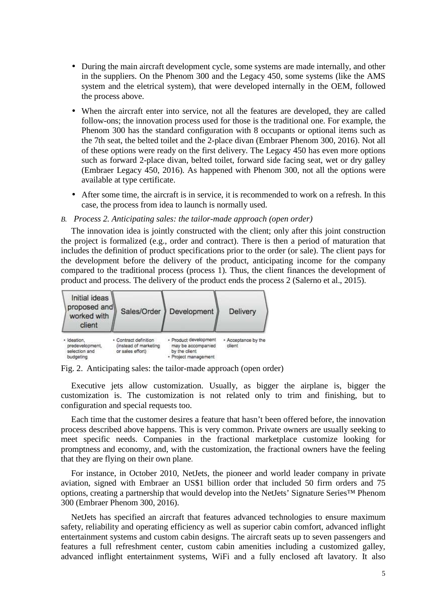- During the main aircraft development cycle, some systems are made internally, and other in the suppliers. On the Phenom 300 and the Legacy 450, some systems (like the AMS system and the eletrical system), that were developed internally in the OEM, followed the process above.
- When the aircraft enter into service, not all the features are developed, they are called follow-ons; the innovation process used for those is the traditional one. For example, the Phenom 300 has the standard configuration with 8 occupants or optional items such as the 7th seat, the belted toilet and the 2-place divan (Embraer Phenom 300, 2016). Not all of these options were ready on the first delivery. The Legacy 450 has even more options such as forward 2-place divan, belted toilet, forward side facing seat, wet or dry galley (Embraer Legacy 450, 2016). As happened with Phenom 300, not all the options were available at type certificate.
- After some time, the aircraft is in service, it is recommended to work on a refresh. In this case, the process from idea to launch is normally used.

# *B. Process 2. Anticipating sales: the tailor-made approach (open order)*

The innovation idea is jointly constructed with the client; only after this joint construction the project is formalized (e.g., order and contract). There is then a period of maturation that includes the definition of product specifications prior to the order (or sale). The client pays for the development before the delivery of the product, anticipating income for the company compared to the traditional process (process 1). Thus, the client finances the development of product and process. The delivery of the product ends the process 2 (Salerno et al., 2015).



Fig. 2. Anticipating sales: the tailor-made approach (open order)

Executive jets allow customization. Usually, as bigger the airplane is, bigger the customization is. The customization is not related only to trim and finishing, but to configuration and special requests too.

Each time that the customer desires a feature that hasn't been offered before, the innovation process described above happens. This is very common. Private owners are usually seeking to meet specific needs. Companies in the fractional marketplace customize looking for promptness and economy, and, with the customization, the fractional owners have the feeling that they are flying on their own plane.

For instance, in October 2010, NetJets, the pioneer and world leader company in private aviation, signed with Embraer an US\$1 billion order that included 50 firm orders and 75 options, creating a partnership that would develop into the NetJets' Signature Series™ Phenom 300 (Embraer Phenom 300, 2016).

NetJets has specified an aircraft that features advanced technologies to ensure maximum safety, reliability and operating efficiency as well as superior cabin comfort, advanced inflight entertainment systems and custom cabin designs. The aircraft seats up to seven passengers and features a full refreshment center, custom cabin amenities including a customized galley, advanced inflight entertainment systems, WiFi and a fully enclosed aft lavatory. It also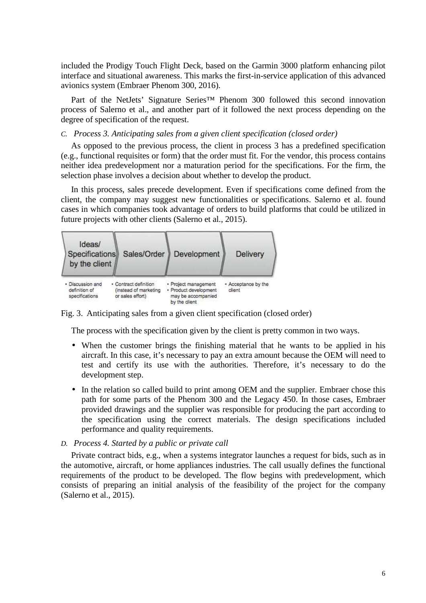included the Prodigy Touch Flight Deck, based on the Garmin 3000 platform enhancing pilot interface and situational awareness. This marks the first-in-service application of this advanced avionics system (Embraer Phenom 300, 2016).

Part of the NetJets' Signature Series™ Phenom 300 followed this second innovation process of Salerno et al., and another part of it followed the next process depending on the degree of specification of the request.

## *C. Process 3. Anticipating sales from a given client specification (closed order)*

As opposed to the previous process, the client in process 3 has a predefined specification (e.g., functional requisites or form) that the order must fit. For the vendor, this process contains neither idea predevelopment nor a maturation period for the specifications. For the firm, the selection phase involves a decision about whether to develop the product.

In this process, sales precede development. Even if specifications come defined from the client, the company may suggest new functionalities or specifications. Salerno et al. found cases in which companies took advantage of orders to build platforms that could be utilized in future projects with other clients (Salerno et al., 2015).



Fig. 3. Anticipating sales from a given client specification (closed order)

The process with the specification given by the client is pretty common in two ways.

- When the customer brings the finishing material that he wants to be applied in his aircraft. In this case, it's necessary to pay an extra amount because the OEM will need to test and certify its use with the authorities. Therefore, it's necessary to do the development step.
- In the relation so called build to print among OEM and the supplier. Embraer chose this path for some parts of the Phenom 300 and the Legacy 450. In those cases, Embraer provided drawings and the supplier was responsible for producing the part according to the specification using the correct materials. The design specifications included performance and quality requirements.

## *D. Process 4. Started by a public or private call*

Private contract bids, e.g., when a systems integrator launches a request for bids, such as in the automotive, aircraft, or home appliances industries. The call usually defines the functional requirements of the product to be developed. The flow begins with predevelopment, which consists of preparing an initial analysis of the feasibility of the project for the company (Salerno et al., 2015).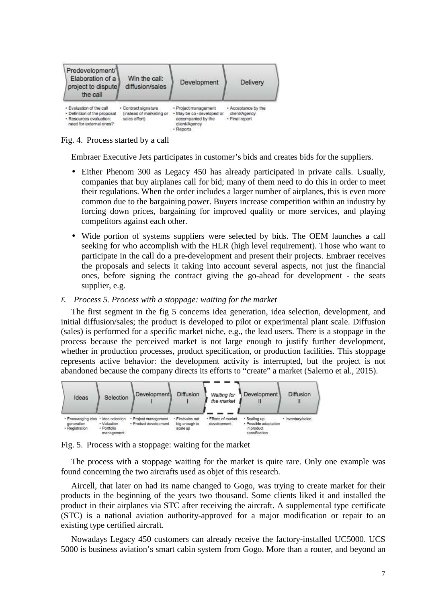

Fig. 4. Process started by a call

Embraer Executive Jets participates in customer's bids and creates bids for the suppliers.

- Either Phenom 300 as Legacy 450 has already participated in private calls. Usually, companies that buy airplanes call for bid; many of them need to do this in order to meet their regulations. When the order includes a larger number of airplanes, this is even more common due to the bargaining power. Buyers increase competition within an industry by forcing down prices, bargaining for improved quality or more services, and playing competitors against each other.
- Wide portion of systems suppliers were selected by bids. The OEM launches a call seeking for who accomplish with the HLR (high level requirement). Those who want to participate in the call do a pre-development and present their projects. Embraer receives the proposals and selects it taking into account several aspects, not just the financial ones, before signing the contract giving the go-ahead for development - the seats supplier, e.g.
- *E. Process 5. Process with a stoppage: waiting for the market*

The first segment in the fig 5 concerns idea generation, idea selection, development, and initial diffusion/sales; the product is developed to pilot or experimental plant scale. Diffusion (sales) is performed for a specific market niche, e.g., the lead users. There is a stoppage in the process because the perceived market is not large enough to justify further development, whether in production processes, product specification, or production facilities. This stoppage represents active behavior: the development activity is interrupted, but the project is not abandoned because the company directs its efforts to "create" a market (Salerno et al., 2015).



Fig. 5. Process with a stoppage: waiting for the market

The process with a stoppage waiting for the market is quite rare. Only one example was found concerning the two aircrafts used as objet of this research.

Aircell, that later on had its name changed to Gogo, was trying to create market for their products in the beginning of the years two thousand. Some clients liked it and installed the product in their airplanes via STC after receiving the aircraft. A supplemental type certificate (STC) is a national aviation authority-approved for a major modification or repair to an existing type certified aircraft.

Nowadays Legacy 450 customers can already receive the factory-installed UC5000. UCS 5000 is business aviation's smart cabin system from Gogo. More than a router, and beyond an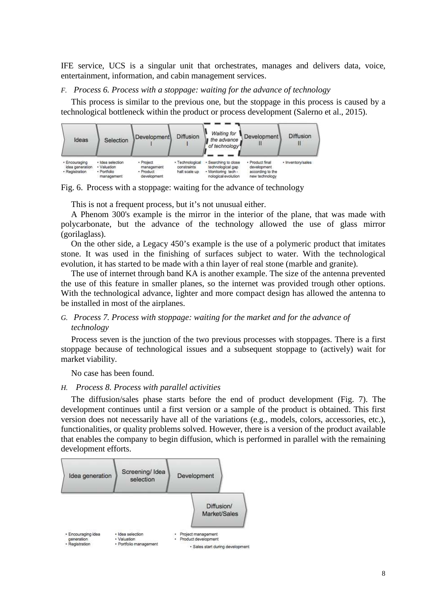IFE service, UCS is a singular unit that orchestrates, manages and delivers data, voice, entertainment, information, and cabin management services.

## *F. Process 6. Process with a stoppage: waiting for the advance of technology*

This process is similar to the previous one, but the stoppage in this process is caused by a technological bottleneck within the product or process development (Salerno et al., 2015).



Fig. 6. Process with a stoppage: waiting for the advance of technology

This is not a frequent process, but it's not unusual either.

A Phenom 300's example is the mirror in the interior of the plane, that was made with polycarbonate, but the advance of the technology allowed the use of glass mirror (gorilaglass).

On the other side, a Legacy 450's example is the use of a polymeric product that imitates stone. It was used in the finishing of surfaces subject to water. With the technological evolution, it has started to be made with a thin layer of real stone (marble and granite).

The use of internet through band KA is another example. The size of the antenna prevented the use of this feature in smaller planes, so the internet was provided trough other options. With the technological advance, lighter and more compact design has allowed the antenna to be installed in most of the airplanes.

# *G. Process 7. Process with stoppage: waiting for the market and for the advance of technology*

Process seven is the junction of the two previous processes with stoppages. There is a first stoppage because of technological issues and a subsequent stoppage to (actively) wait for market viability.

No case has been found.

#### *H. Process 8. Process with parallel activities*

The diffusion/sales phase starts before the end of product development (Fig. 7). The development continues until a first version or a sample of the product is obtained. This first version does not necessarily have all of the variations (e.g., models, colors, accessories, etc.), functionalities, or quality problems solved. However, there is a version of the product available that enables the company to begin diffusion, which is performed in parallel with the remaining development efforts.

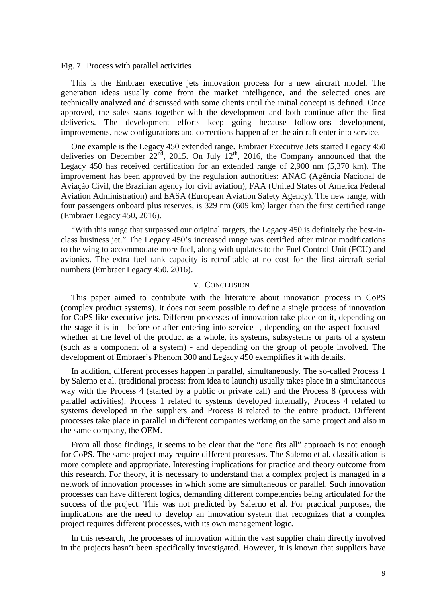### Fig. 7. Process with parallel activities

This is the Embraer executive jets innovation process for a new aircraft model. The generation ideas usually come from the market intelligence, and the selected ones are technically analyzed and discussed with some clients until the initial concept is defined. Once approved, the sales starts together with the development and both continue after the first deliveries. The development efforts keep going because follow-ons development, improvements, new configurations and corrections happen after the aircraft enter into service.

One example is the Legacy 450 extended range. Embraer Executive Jets started Legacy 450 deliveries on December  $22<sup>nd</sup>$ , 2015. On July  $12<sup>th</sup>$ , 2016, the Company announced that the Legacy 450 has received certification for an extended range of 2,900 nm (5,370 km). The improvement has been approved by the regulation authorities: ANAC (Agência Nacional de Aviação Civil, the Brazilian agency for civil aviation), FAA (United States of America Federal Aviation Administration) and EASA (European Aviation Safety Agency). The new range, with four passengers onboard plus reserves, is 329 nm (609 km) larger than the first certified range (Embraer Legacy 450, 2016).

"With this range that surpassed our original targets, the Legacy 450 is definitely the best-inclass business jet." The Legacy 450's increased range was certified after minor modifications to the wing to accommodate more fuel, along with updates to the Fuel Control Unit (FCU) and avionics. The extra fuel tank capacity is retrofitable at no cost for the first aircraft serial numbers (Embraer Legacy 450, 2016).

#### V. CONCLUSION

This paper aimed to contribute with the literature about innovation process in CoPS (complex product systems). It does not seem possible to define a single process of innovation for CoPS like executive jets. Different processes of innovation take place on it, depending on the stage it is in - before or after entering into service -, depending on the aspect focused whether at the level of the product as a whole, its systems, subsystems or parts of a system (such as a component of a system) - and depending on the group of people involved. The development of Embraer's Phenom 300 and Legacy 450 exemplifies it with details.

In addition, different processes happen in parallel, simultaneously. The so-called Process 1 by Salerno et al. (traditional process: from idea to launch) usually takes place in a simultaneous way with the Process 4 (started by a public or private call) and the Process 8 (process with parallel activities): Process 1 related to systems developed internally, Process 4 related to systems developed in the suppliers and Process 8 related to the entire product. Different processes take place in parallel in different companies working on the same project and also in the same company, the OEM.

From all those findings, it seems to be clear that the "one fits all" approach is not enough for CoPS. The same project may require different processes. The Salerno et al. classification is more complete and appropriate. Interesting implications for practice and theory outcome from this research. For theory, it is necessary to understand that a complex project is managed in a network of innovation processes in which some are simultaneous or parallel. Such innovation processes can have different logics, demanding different competencies being articulated for the success of the project. This was not predicted by Salerno et al. For practical purposes, the implications are the need to develop an innovation system that recognizes that a complex project requires different processes, with its own management logic.

In this research, the processes of innovation within the vast supplier chain directly involved in the projects hasn't been specifically investigated. However, it is known that suppliers have